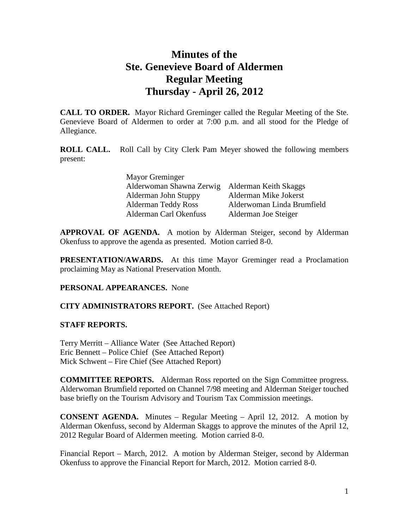# **Minutes of the Ste. Genevieve Board of Aldermen Regular Meeting Thursday - April 26, 2012**

**CALL TO ORDER.** Mayor Richard Greminger called the Regular Meeting of the Ste. Genevieve Board of Aldermen to order at 7:00 p.m. and all stood for the Pledge of Allegiance.

**ROLL CALL.** Roll Call by City Clerk Pam Meyer showed the following members present:

| Mayor Greminger                                |                            |
|------------------------------------------------|----------------------------|
| Alderwoman Shawna Zerwig Alderman Keith Skaggs |                            |
| Alderman John Stuppy                           | Alderman Mike Jokerst      |
| <b>Alderman Teddy Ross</b>                     | Alderwoman Linda Brumfield |
| Alderman Carl Okenfuss                         | Alderman Joe Steiger       |

**APPROVAL OF AGENDA.** A motion by Alderman Steiger, second by Alderman Okenfuss to approve the agenda as presented. Motion carried 8-0.

**PRESENTATION/AWARDS.** At this time Mayor Greminger read a Proclamation proclaiming May as National Preservation Month.

#### **PERSONAL APPEARANCES.** None

## **CITY ADMINISTRATORS REPORT.** (See Attached Report)

#### **STAFF REPORTS.**

Terry Merritt – Alliance Water (See Attached Report) Eric Bennett – Police Chief (See Attached Report) Mick Schwent – Fire Chief (See Attached Report)

**COMMITTEE REPORTS.** Alderman Ross reported on the Sign Committee progress. Alderwoman Brumfield reported on Channel 7/98 meeting and Alderman Steiger touched base briefly on the Tourism Advisory and Tourism Tax Commission meetings.

**CONSENT AGENDA.** Minutes – Regular Meeting – April 12, 2012. A motion by Alderman Okenfuss, second by Alderman Skaggs to approve the minutes of the April 12, 2012 Regular Board of Aldermen meeting. Motion carried 8-0.

Financial Report – March, 2012. A motion by Alderman Steiger, second by Alderman Okenfuss to approve the Financial Report for March, 2012. Motion carried 8-0.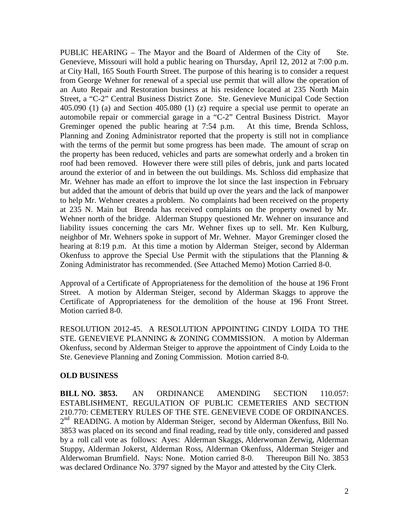PUBLIC HEARING – The Mayor and the Board of Aldermen of the City of Ste. Genevieve, Missouri will hold a public hearing on Thursday, April 12, 2012 at 7:00 p.m. at City Hall, 165 South Fourth Street. The purpose of this hearing is to consider a request from George Wehner for renewal of a special use permit that will allow the operation of an Auto Repair and Restoration business at his residence located at 235 North Main Street, a "C-2" Central Business District Zone. Ste. Genevieve Municipal Code Section 405.090 (1) (a) and Section 405.080 (1) (z) require a special use permit to operate an automobile repair or commercial garage in a "C-2" Central Business District. Mayor Greminger opened the public hearing at 7:54 p.m. At this time, Brenda Schloss, Planning and Zoning Administrator reported that the property is still not in compliance with the terms of the permit but some progress has been made. The amount of scrap on the property has been reduced, vehicles and parts are somewhat orderly and a broken tin roof had been removed. However there were still piles of debris, junk and parts located around the exterior of and in between the out buildings. Ms. Schloss did emphasize that Mr. Wehner has made an effort to improve the lot since the last inspection in February but added that the amount of debris that build up over the years and the lack of manpower to help Mr. Wehner creates a problem. No complaints had been received on the property at 235 N. Main but Brenda has received complaints on the property owned by Mr. Wehner north of the bridge. Alderman Stuppy questioned Mr. Wehner on insurance and liability issues concerning the cars Mr. Wehner fixes up to sell. Mr. Ken Kulburg, neighbor of Mr. Wehners spoke in support of Mr. Wehner. Mayor Greminger closed the hearing at 8:19 p.m. At this time a motion by Alderman Steiger, second by Alderman Okenfuss to approve the Special Use Permit with the stipulations that the Planning  $\&$ Zoning Administrator has recommended. (See Attached Memo) Motion Carried 8-0.

Approval of a Certificate of Appropriateness for the demolition of the house at 196 Front Street. A motion by Alderman Steiger, second by Alderman Skaggs to approve the Certificate of Appropriateness for the demolition of the house at 196 Front Street. Motion carried 8-0.

RESOLUTION 2012-45. A RESOLUTION APPOINTING CINDY LOIDA TO THE STE. GENEVIEVE PLANNING & ZONING COMMISSION. A motion by Alderman Okenfuss, second by Alderman Steiger to approve the appointment of Cindy Loida to the Ste. Genevieve Planning and Zoning Commission. Motion carried 8-0.

#### **OLD BUSINESS**

**BILL NO. 3853.** AN ORDINANCE AMENDING SECTION 110.057: ESTABLISHMENT, REGULATION OF PUBLIC CEMETERIES AND SECTION 210.770: CEMETERY RULES OF THE STE. GENEVIEVE CODE OF ORDINANCES. 2<sup>nd</sup> READING. A motion by Alderman Steiger, second by Alderman Okenfuss, Bill No. 3853 was placed on its second and final reading, read by title only, considered and passed by a roll call vote as follows: Ayes: Alderman Skaggs, Alderwoman Zerwig, Alderman Stuppy, Alderman Jokerst, Alderman Ross, Alderman Okenfuss, Alderman Steiger and Alderwoman Brumfield. Nays: None. Motion carried 8-0. Thereupon Bill No. 3853 was declared Ordinance No. 3797 signed by the Mayor and attested by the City Clerk.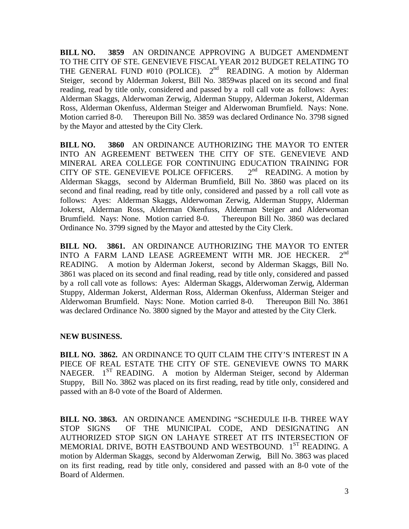**BILL NO. 3859** AN ORDINANCE APPROVING A BUDGET AMENDMENT TO THE CITY OF STE. GENEVIEVE FISCAL YEAR 2012 BUDGET RELATING TO THE GENERAL FUND #010 (POLICE).  $2<sup>nd</sup>$  READING. A motion by Alderman Steiger, second by Alderman Jokerst, Bill No. 3859was placed on its second and final reading, read by title only, considered and passed by a roll call vote as follows: Ayes: Alderman Skaggs, Alderwoman Zerwig, Alderman Stuppy, Alderman Jokerst, Alderman Ross, Alderman Okenfuss, Alderman Steiger and Alderwoman Brumfield. Nays: None. Motion carried 8-0. Thereupon Bill No. 3859 was declared Ordinance No. 3798 signed by the Mayor and attested by the City Clerk.

**BILL NO. 3860** AN ORDINANCE AUTHORIZING THE MAYOR TO ENTER INTO AN AGREEMENT BETWEEN THE CITY OF STE. GENEVIEVE AND MINERAL AREA COLLEGE FOR CONTINUING EDUCATION TRAINING FOR CITY OF STE. GENEVIEVE POLICE OFFICERS.  $2^{nd}$  READING. A motion by CITY OF STE. GENEVIEVE POLICE OFFICERS. Alderman Skaggs, second by Alderman Brumfield, Bill No. 3860 was placed on its second and final reading, read by title only, considered and passed by a roll call vote as follows: Ayes: Alderman Skaggs, Alderwoman Zerwig, Alderman Stuppy, Alderman Jokerst, Alderman Ross, Alderman Okenfuss, Alderman Steiger and Alderwoman Brumfield. Nays: None. Motion carried 8-0. Thereupon Bill No. 3860 was declared Ordinance No. 3799 signed by the Mayor and attested by the City Clerk.

**BILL NO. 3861.** AN ORDINANCE AUTHORIZING THE MAYOR TO ENTER INTO A FARM LAND LEASE AGREEMENT WITH MR. JOE HECKER. 2<sup>nd</sup> INTO A FARM LAND LEASE AGREEMENT WITH MR. JOE HECKER. READING. A motion by Alderman Jokerst, second by Alderman Skaggs, Bill No. 3861 was placed on its second and final reading, read by title only, considered and passed by a roll call vote as follows: Ayes: Alderman Skaggs, Alderwoman Zerwig, Alderman Stuppy, Alderman Jokerst, Alderman Ross, Alderman Okenfuss, Alderman Steiger and Alderwoman Brumfield. Nays: None. Motion carried 8-0. Thereupon Bill No. 3861 was declared Ordinance No. 3800 signed by the Mayor and attested by the City Clerk.

## **NEW BUSINESS.**

**BILL NO. 3862.** AN ORDINANCE TO QUIT CLAIM THE CITY'S INTEREST IN A PIECE OF REAL ESTATE THE CITY OF STE. GENEVIEVE OWNS TO MARK NAEGER.  $1^{ST}$  READING. A motion by Alderman Steiger, second by Alderman Stuppy, Bill No. 3862 was placed on its first reading, read by title only, considered and passed with an 8-0 vote of the Board of Aldermen.

**BILL NO. 3863.** AN ORDINANCE AMENDING "SCHEDULE II-B. THREE WAY STOP SIGNS OF THE MUNICIPAL CODE, AND DESIGNATING AN AUTHORIZED STOP SIGN ON LAHAYE STREET AT ITS INTERSECTION OF MEMORIAL DRIVE, BOTH EASTBOUND AND WESTBOUND. 1<sup>ST</sup> READING. A motion by Alderman Skaggs, second by Alderwoman Zerwig, Bill No. 3863 was placed on its first reading, read by title only, considered and passed with an 8-0 vote of the Board of Aldermen.